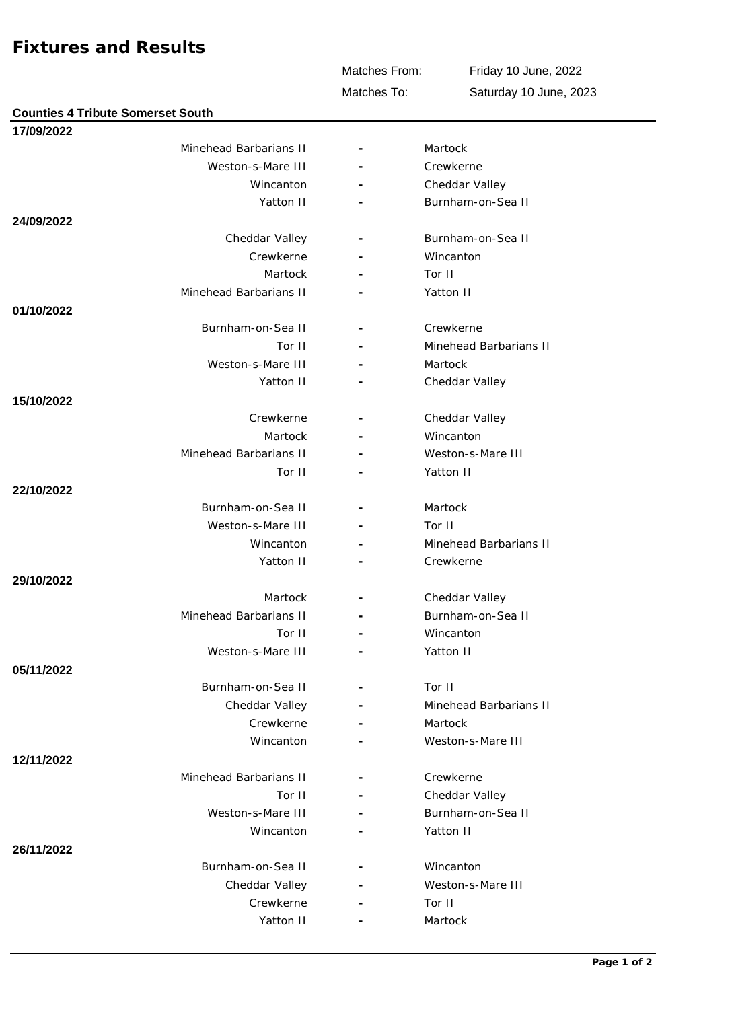## **Fixtures and Results**

**Counties 4 Tribute Somerset South**

**17/09/2022**

Matches From:

Friday 10 June, 2022

Matches To:

Saturday 10 June, 2023 Weston-s-Mare III **-** Crewkerne Minehead Barbarians II **- Martock** 

| weston-s-mare in       | -                        | <b>Crewkerne</b>       |
|------------------------|--------------------------|------------------------|
| Wincanton              | ÷,                       | Cheddar Valley         |
| Yatton II              |                          | Burnham-on-Sea II      |
| 24/09/2022             |                          |                        |
| Cheddar Valley         |                          | Burnham-on-Sea II      |
| Crewkerne              |                          | Wincanton              |
| Martock                |                          | Tor II                 |
| Minehead Barbarians II |                          | Yatton II              |
| 01/10/2022             |                          |                        |
| Burnham-on-Sea II      | $\overline{\phantom{a}}$ | Crewkerne              |
| Tor II                 |                          | Minehead Barbarians II |
| Weston-s-Mare III      |                          | Martock                |
| Yatton II              |                          | Cheddar Valley         |
| 15/10/2022             |                          |                        |
| Crewkerne              |                          | Cheddar Valley         |
| Martock                |                          | Wincanton              |
| Minehead Barbarians II |                          | Weston-s-Mare III      |
| Tor II                 |                          | Yatton II              |
| 22/10/2022             |                          |                        |
| Burnham-on-Sea II      |                          | Martock                |
| Weston-s-Mare III      |                          | Tor II                 |
| Wincanton              |                          | Minehead Barbarians II |
| Yatton II              |                          | Crewkerne              |
| 29/10/2022             |                          |                        |
| Martock                |                          | Cheddar Valley         |
| Minehead Barbarians II |                          | Burnham-on-Sea II      |
| Tor II                 |                          | Wincanton              |
| Weston-s-Mare III      |                          | Yatton II              |
| 05/11/2022             |                          |                        |
| Burnham-on-Sea II      | $\overline{\phantom{a}}$ | Tor II                 |
| Cheddar Valley         |                          | Minehead Barbarians II |
| Crewkerne              |                          | Martock                |
| Wincanton              |                          | Weston-s-Mare III      |
| 12/11/2022             |                          |                        |
| Minehead Barbarians II |                          | Crewkerne              |
| Tor II                 | $\overline{\phantom{a}}$ | Cheddar Valley         |
| Weston-s-Mare III      |                          | Burnham-on-Sea II      |
| Wincanton              |                          | Yatton II              |
| 26/11/2022             |                          |                        |
| Burnham-on-Sea II      |                          | Wincanton              |
| Cheddar Valley         |                          | Weston-s-Mare III      |
| Crewkerne              |                          | Tor II                 |
| Yatton II              |                          | Martock                |
|                        |                          |                        |